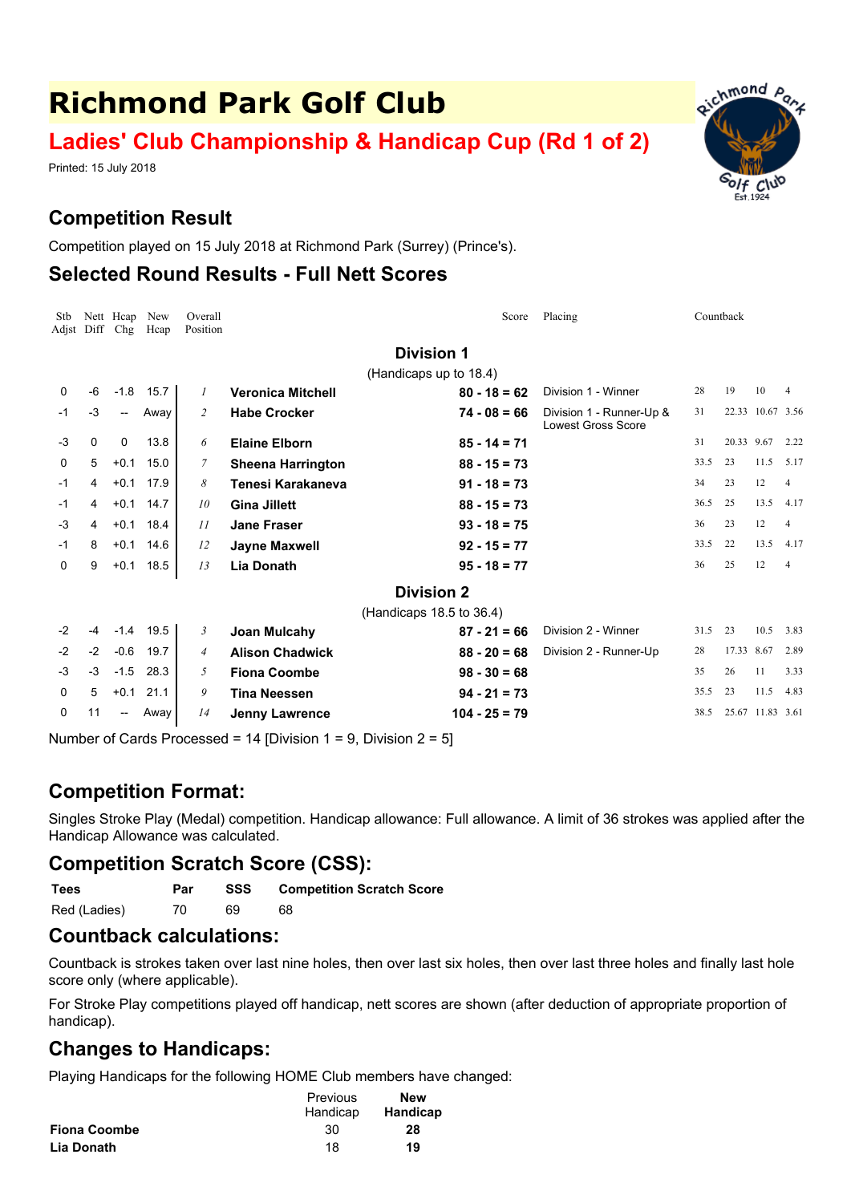# **Richmond Park Golf Club**

# **Ladies' Club Championship & Handicap Cup (Rd 1 of 2)**

Printed: 15 July 2018

## **Competition Result**

Competition played on 15 July 2018 at Richmond Park (Surrey) (Prince's).

#### **Selected Round Results - Full Nett Scores**

| Stb<br>Adist |      | Nett Heap<br>Diff Chg | New<br>Hcap | Overall<br>Position |                          | Score                    | Placing                                               | Countback |            |                  |                |
|--------------|------|-----------------------|-------------|---------------------|--------------------------|--------------------------|-------------------------------------------------------|-----------|------------|------------------|----------------|
|              |      |                       |             |                     |                          | <b>Division 1</b>        |                                                       |           |            |                  |                |
|              |      |                       |             |                     |                          | (Handicaps up to 18.4)   |                                                       |           |            |                  |                |
| 0            | -6   | $-1.8$                | 15.7        | 1                   | <b>Veronica Mitchell</b> | $80 - 18 = 62$           | Division 1 - Winner                                   | 28        | 19         | 10               |                |
| -1           | -3   | −−                    | Away        | 2                   | <b>Habe Crocker</b>      | $74 - 08 = 66$           | Division 1 - Runner-Up &<br><b>Lowest Gross Score</b> | 31        |            | 22.33 10.67 3.56 |                |
| -3           | 0    | 0                     | 13.8        | 6                   | <b>Elaine Elborn</b>     | $85 - 14 = 71$           |                                                       | 31        | 20.33 9.67 |                  | 2.22           |
| 0            | 5    | $+0.1$                | 15.0        | 7                   | <b>Sheena Harrington</b> | $88 - 15 = 73$           |                                                       | 33.5      | 23         | 11.5             | 5.17           |
| -1           | 4    | $+0.1$                | 17.9        | 8                   | Tenesi Karakaneva        | $91 - 18 = 73$           |                                                       | 34        | 23         | 12               | 4              |
| -1           | 4    |                       | $+0.1$ 14.7 | 10                  | <b>Gina Jillett</b>      | $88 - 15 = 73$           |                                                       | 36.5      | 25         | 13.5             | 4.17           |
| $-3$         | 4    | $+0.1$                | 18.4        | 11                  | <b>Jane Fraser</b>       | $93 - 18 = 75$           |                                                       | 36        | 23         | 12               | $\overline{4}$ |
| $-1$         | 8    | $+0.1$                | 14.6        | 12                  | Jayne Maxwell            | $92 - 15 = 77$           |                                                       | 33.5      | 22         | 13.5             | 4.17           |
| 0            | 9    | $+0.1$                | 18.5        | 13                  | Lia Donath               | $95 - 18 = 77$           |                                                       | 36        | 25         | 12               | $\overline{4}$ |
|              |      |                       |             |                     |                          | <b>Division 2</b>        |                                                       |           |            |                  |                |
|              |      |                       |             |                     |                          | (Handicaps 18.5 to 36.4) |                                                       |           |            |                  |                |
| $-2$         | -4   | $-1.4$                | 19.5        | 3                   | Joan Mulcahy             | $87 - 21 = 66$           | Division 2 - Winner                                   | 31.5      | 23         | 10.5             | 3.83           |
| $-2$         | $-2$ | $-0.6$                | 19.7        | 4                   | <b>Alison Chadwick</b>   | $88 - 20 = 68$           | Division 2 - Runner-Up                                | 28        | 17.33 8.67 |                  | 2.89           |
| $-3$         | $-3$ | $-1.5$                | 28.3        | 5                   | <b>Fiona Coombe</b>      | $98 - 30 = 68$           |                                                       | 35        | 26         | 11               | 3.33           |
| 0            | 5    | $+0.1$                | 21.1        | 9                   | <b>Tina Neessen</b>      | $94 - 21 = 73$           |                                                       | 35.5      | 23         | 11.5             | 4.83           |
| 0            | 11   | --                    | Away        | 14                  | <b>Jenny Lawrence</b>    | $104 - 25 = 79$          |                                                       | 38.5      |            | 25.67 11.83 3.61 |                |

Number of Cards Processed = 14 [Division 1 = 9, Division 2 = 5]

### **Competition Format:**

Singles Stroke Play (Medal) competition. Handicap allowance: Full allowance. A limit of 36 strokes was applied after the Handicap Allowance was calculated.

### **Competition Scratch Score (CSS):**

**Tees Par SSS Competition Scratch Score**

Red (Ladies) 70 69 68

#### **Countback calculations:**

Countback is strokes taken over last nine holes, then over last six holes, then over last three holes and finally last hole score only (where applicable).

For Stroke Play competitions played off handicap, nett scores are shown (after deduction of appropriate proportion of handicap).

### **Changes to Handicaps:**

Playing Handicaps for the following HOME Club members have changed:

|                     | Previous | <b>New</b> |
|---------------------|----------|------------|
|                     | Handicap | Handicap   |
| <b>Fiona Coombe</b> | 30       | 28         |
| Lia Donath          | 18       | 19         |